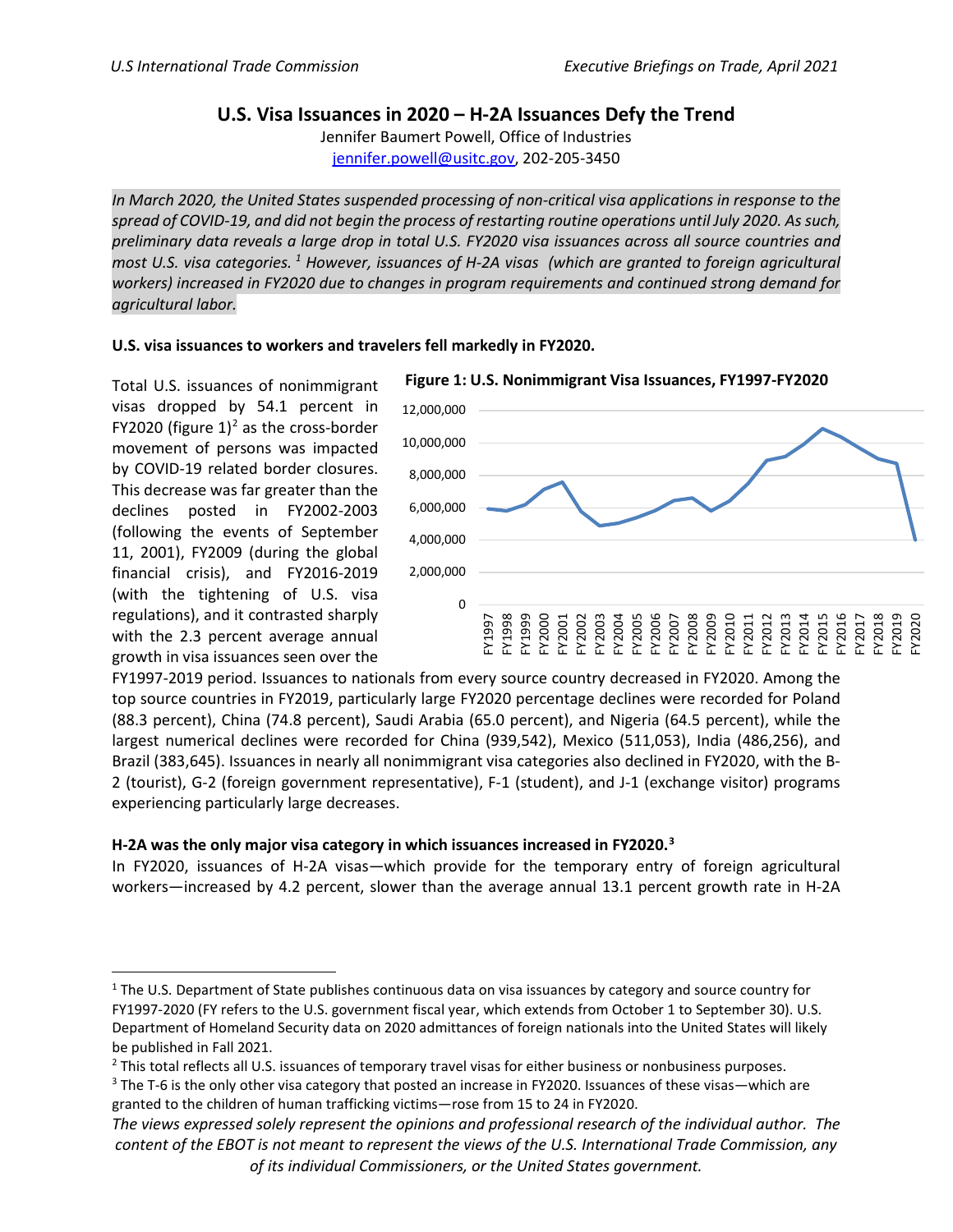## **U.S. Visa Issuances in 2020 – H-2A Issuances Defy the Trend**

Jennifer Baumert Powell, Office of Industries [jennifer.powell@usitc.gov,](mailto:jennifer.powell@usitc.gov) 202-205-3450

*In March 2020, the United States suspended processing of non-critical visa applications in response to the spread of COVID-19, and did not begin the process of restarting routine operations until July 2020. As such, preliminary data reveals a large drop in total U.S. FY2020 visa issuances across all source countries and most U.S. visa categories. [1](#page-0-0) However, issuances of H-2A visas (which are granted to foreign agricultural workers) increased in FY2020 due to changes in program requirements and continued strong demand for agricultural labor.* 

## **U.S. visa issuances to workers and travelers fell markedly in FY2020.**

Total U.S. issuances of nonimmigrant visas dropped by 54.1 percent in FY2020 (figure  $1)^2$  as the cross-border movement of persons was impacted by COVID-19 related border closures. This decrease was far greater than the declines posted in FY2002-2003 (following the events of September 11, 2001), FY2009 (during the global financial crisis), and FY2016-2019 (with the tightening of U.S. visa regulations), and it contrasted sharply with the 2.3 percent average annual growth in visa issuances seen over the



FY1997-2019 period. Issuances to nationals from every source country decreased in FY2020. Among the top source countries in FY2019, particularly large FY2020 percentage declines were recorded for Poland (88.3 percent), China (74.8 percent), Saudi Arabia (65.0 percent), and Nigeria (64.5 percent), while the largest numerical declines were recorded for China (939,542), Mexico (511,053), India (486,256), and Brazil (383,645). Issuances in nearly all nonimmigrant visa categories also declined in FY2020, with the B-2 (tourist), G-2 (foreign government representative), F-1 (student), and J-1 (exchange visitor) programs experiencing particularly large decreases.

## **H-2A was the only major visa category in which issuances increased in FY2020.[3](#page-0-2)**

In FY2020, issuances of H-2A visas—which provide for the temporary entry of foreign agricultural workers—increased by 4.2 percent, slower than the average annual 13.1 percent growth rate in H-2A

<span id="page-0-0"></span><sup>&</sup>lt;sup>1</sup> The U.S. Department of State publishes continuous data on visa issuances by category and source country for FY1997-2020 (FY refers to the U.S. government fiscal year, which extends from October 1 to September 30). U.S. Department of Homeland Security data on 2020 admittances of foreign nationals into the United States will likely be published in Fall 2021.

<span id="page-0-1"></span><sup>&</sup>lt;sup>2</sup> This total reflects all U.S. issuances of temporary travel visas for either business or nonbusiness purposes.

<span id="page-0-2"></span><sup>&</sup>lt;sup>3</sup> The T-6 is the only other visa category that posted an increase in FY2020. Issuances of these visas—which are granted to the children of human trafficking victims—rose from 15 to 24 in FY2020.

*The views expressed solely represent the opinions and professional research of the individual author. The content of the EBOT is not meant to represent the views of the U.S. International Trade Commission, any of its individual Commissioners, or the United States government.*